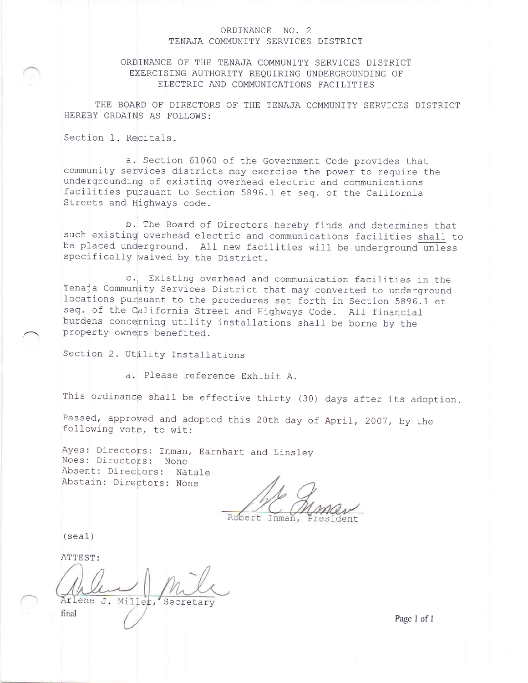### ORDINANCE NO. 2 TENAJA COMMUNITY SERVICES DISTRICT

### ORDINANCE OF THE TENAJA COMMUNITY SERVICES DISTRICT EXERCISING AUTHORITY REQUIRING UNDERGROUNDING OF ELECTRIC AND COMMUNICATIONS FACILITIES

THE BOARD OF DIRECTORS OF THE TENAJA COMMUNITY SERVICES DISTRICT HEREBY ORDAINS AS FOLLOWS:

Section 1. Recitals.

a. Section 61060 of the Government Code provides that community services districts may exercise the power to require the undergrounding of existing overhead electric and communications facilities pursuant to Section 5896.1 et seq. of the California Streets and Highways code.

b. The Board of Directors hereby finds and determines that such existing overhead electric and communications facilities shall to be placed underground. All new facilities will be underground unless specifically waived by the District.

c. Existing overhead and communication facilities in the Tenaja Community Services District that may converted to underground locations pursuant to the procedures set forth in Section 5896.1 et seq. of the California Street and Highways Code. All financial burdens concerning utility installations shall be borne by the property owners benefited.

Section 2. Utility Installations

a. Please reference Exhibit A.

This ordinance shall be effective thirty (30) days after its adoption.

Passed, approved and adopted this 20th day of April, 2007, by the following vote, to wit:

Ayes: Directors: Inman, Earnhart and Linsley Noes: Directors: None Absent: Directors: Natale Abstain: Directors: None

Robert

 $(seal)$ 

ATTEST:

Arlene J. Miller, Secretary final

Page 1 of 1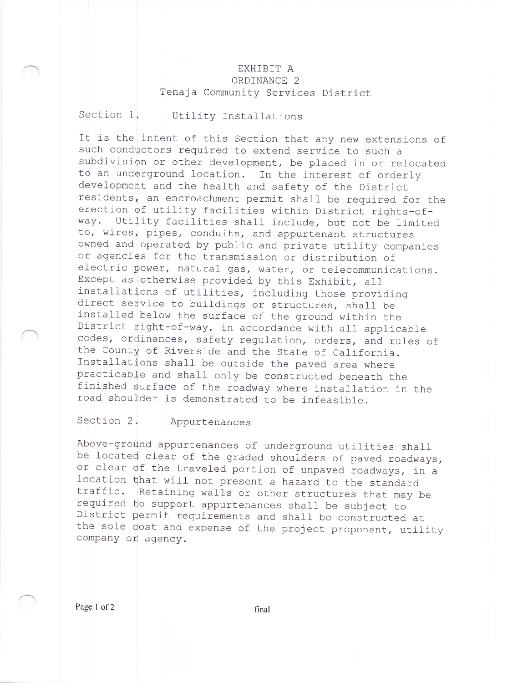# EXHIBIT A ORDINANCE 2 Tenaja Community Services District

### Section 1. Utility Installations

It is the intent of this Section that any new extensions of such conductors required to extend service to such <sup>a</sup> subdivision or other development, be placed in or relocated to an underground location. In the interest of orderly development and the health and safety of the District residents<sub>4</sub> an encroachment permit shall be required for the erection of utility facilities within District rights-ofway. Utility facilities shall include, but not be limited<br>to, wires, pipes, conduits, and appurtenant structures owned and operated by public and private utility companies or agencies for the transmission or distribution of electric power, natural gas, water, or telecommunications.<br>Except as otherwise provided by this Exhibit, all installations of utilities, including those providing<br>direct service to buildings or structures, shall be<br>installed below the surface of the ground within the<br>District right-of-way, in accordance with all applicable<br>codes,

# Section 2. Appurtenances

Above-ground appurtenances of underground utilities shall<br>be located clear of the graded shoulders of paved roadways, or clear of the traveled portion of unpaved roadways, in a location that will not present a hazard to the standard traffic. Retaining walls or other structures that may be<br>required to support appurtenances shall be subject to<br>District permit requirements and shall be constructed at<br>the sole cost and expense of the project proponent, ut company or agency.